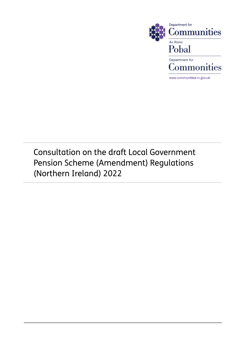

Consultation on the draft Local Government Pension Scheme (Amendment) Regulations (Northern Ireland) 2022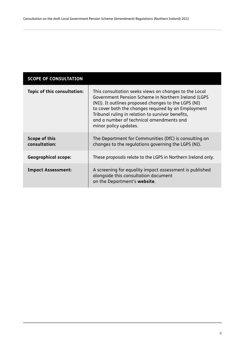### **SCOPE OF CONSULTATION**

| Topic of this consultation:    | This consultation seeks views on changes to the Local<br>Government Pension Scheme in Northern Ireland (LGPS<br>(NI)). It outlines proposed changes to the LGPS (NI)<br>to cover both the changes required by an Employment<br>Tribunal ruling in relation to survivor benefits,<br>and a number of technical amendments and<br>minor policy updates. |
|--------------------------------|-------------------------------------------------------------------------------------------------------------------------------------------------------------------------------------------------------------------------------------------------------------------------------------------------------------------------------------------------------|
| Scope of this<br>consultation: | The Department for Communities (DfC) is consulting on<br>changes to the regulations governing the LGPS (NI).                                                                                                                                                                                                                                          |
| <b>Geographical scope:</b>     | These proposals relate to the LGPS in Northern Ireland only.                                                                                                                                                                                                                                                                                          |
| <b>Impact Assessment:</b>      | A screening for equality impact assessment is published<br>alongside this consultation document<br>on the Department's website.                                                                                                                                                                                                                       |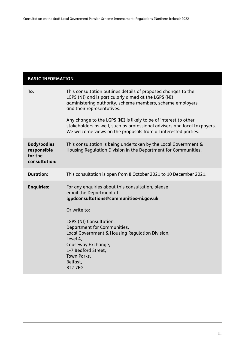| <b>BASIC INFORMATION</b>                                      |                                                                                                                                                                                                                                                                                                                                                             |  |  |  |  |
|---------------------------------------------------------------|-------------------------------------------------------------------------------------------------------------------------------------------------------------------------------------------------------------------------------------------------------------------------------------------------------------------------------------------------------------|--|--|--|--|
| To:                                                           | This consultation outlines details of proposed changes to the<br>LGPS (NI) and is particularly aimed at the LGPS (NI)<br>administering authority, scheme members, scheme employers<br>and their representatives.<br>Any change to the LGPS (NI) is likely to be of interest to other                                                                        |  |  |  |  |
|                                                               | stakeholders as well, such as professional advisers and local taxpayers.<br>We welcome views on the proposals from all interested parties.                                                                                                                                                                                                                  |  |  |  |  |
| <b>Body/bodies</b><br>responsible<br>for the<br>consultation: | This consultation is being undertaken by the Local Government &<br>Housing Regulation Division in the Department for Communities.                                                                                                                                                                                                                           |  |  |  |  |
| <b>Duration:</b>                                              | This consultation is open from 8 October 2021 to 10 December 2021.                                                                                                                                                                                                                                                                                          |  |  |  |  |
| <b>Enquiries:</b>                                             | For any enquiries about this consultation, please<br>email the Department at:<br>lgpdconsultations@communities-ni.gov.uk<br>Or write to:<br>LGPS (NI) Consultation,<br>Department for Communities,<br>Local Government & Housing Regulation Division,<br>Level 4,<br>Causeway Exchange,<br>1-7 Bedford Street,<br>Town Parks,<br>Belfast,<br><b>BT2 7EG</b> |  |  |  |  |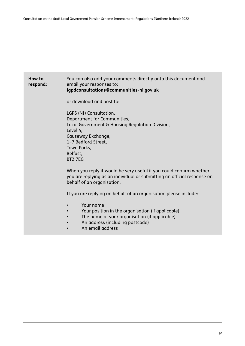| How to<br>respond: | You can also add your comments directly onto this document and<br>email your responses to:<br>lgpdconsultations@communities-ni.gov.uk                                                                                                      |  |  |  |  |  |  |
|--------------------|--------------------------------------------------------------------------------------------------------------------------------------------------------------------------------------------------------------------------------------------|--|--|--|--|--|--|
|                    | or download and post to:                                                                                                                                                                                                                   |  |  |  |  |  |  |
|                    | LGPS (NI) Consultation,<br>Department for Communities,<br>Local Government & Housing Regulation Division,<br>Level 4,<br>Causeway Exchange,<br>1-7 Bedford Street,<br>Town Parks,<br>Belfast,<br><b>BT2 7EG</b>                            |  |  |  |  |  |  |
|                    | When you reply it would be very useful if you could confirm whether<br>you are replying as an individual or submitting an official response on<br>behalf of an organisation.                                                               |  |  |  |  |  |  |
|                    | If you are replying on behalf of an organisation please include:<br>Your name<br>Your position in the organisation (if applicable)<br>The name of your organisation (if applicable)<br>An address (including postcode)<br>An email address |  |  |  |  |  |  |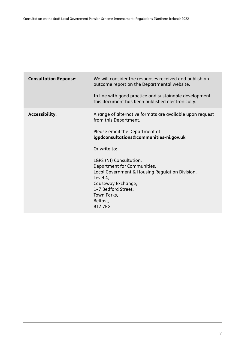| <b>Consultation Reponse:</b> | We will consider the responses received and publish an<br>outcome report on the Departmental website.<br>In line with good practice and sustainable development |
|------------------------------|-----------------------------------------------------------------------------------------------------------------------------------------------------------------|
|                              | this document has been published electronically.                                                                                                                |
| <b>Accessibility:</b>        | A range of alternative formats are available upon request<br>from this Department.                                                                              |
|                              | Please email the Department at:<br>lgpdconsultations@communities-ni.gov.uk                                                                                      |
|                              | Or write to:                                                                                                                                                    |
|                              | LGPS (NI) Consultation,                                                                                                                                         |
|                              | Department for Communities,<br>Local Government & Housing Regulation Division,                                                                                  |
|                              | Level 4,<br>Causeway Exchange,                                                                                                                                  |
|                              | 1-7 Bedford Street,<br>Town Parks,                                                                                                                              |
|                              | Belfast,<br><b>BT2 7EG</b>                                                                                                                                      |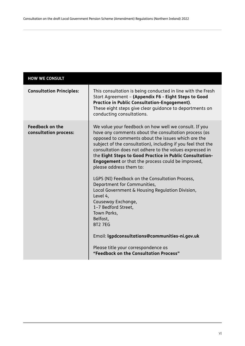| <b>HOW WE CONSULT</b>                           |                                                                                                                                                                                                                                                                                                                                                                                                                                                                                                                                                                                                                                                                                                                                                                                                                                 |
|-------------------------------------------------|---------------------------------------------------------------------------------------------------------------------------------------------------------------------------------------------------------------------------------------------------------------------------------------------------------------------------------------------------------------------------------------------------------------------------------------------------------------------------------------------------------------------------------------------------------------------------------------------------------------------------------------------------------------------------------------------------------------------------------------------------------------------------------------------------------------------------------|
| <b>Consultation Principles:</b>                 | This consultation is being conducted in line with the Fresh<br>Start Agreement - (Appendix F6 - Eight Steps to Good<br><b>Practice in Public Consultation-Engagement).</b><br>These eight steps give clear guidance to departments on<br>conducting consultations.                                                                                                                                                                                                                                                                                                                                                                                                                                                                                                                                                              |
| <b>Feedback on the</b><br>consultation process: | We value your feedback on how well we consult. If you<br>have any comments about the consultation process (as<br>opposed to comments about the issues which are the<br>subject of the consultation), including if you feel that the<br>consultation does not adhere to the values expressed in<br>the Eight Steps to Good Practice in Public Consultation-<br><b>Engagement</b> or that the process could be improved,<br>please address them to:<br>LGPS (NI) Feedback on the Consultation Process,<br>Department for Communities,<br>Local Government & Housing Regulation Division,<br>Level 4,<br>Causeway Exchange,<br>1-7 Bedford Street,<br>Town Parks,<br>Belfast,<br><b>BT2 7EG</b><br>Email: Igpdconsultations@communities-ni.gov.uk<br>Please title your correspondence as<br>"Feedback on the Consultation Process" |
|                                                 |                                                                                                                                                                                                                                                                                                                                                                                                                                                                                                                                                                                                                                                                                                                                                                                                                                 |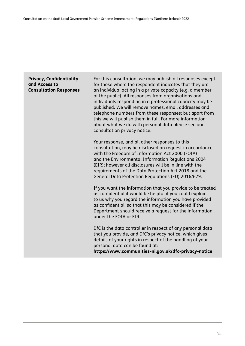### **Privacy, Confidentiality and Access to Consultation Responses**

For this consultation, we may publish all responses except for those where the respondent indicates that they are an individual acting in a private capacity (e.g. a member of the public). All responses from organisations and individuals responding in a professional capacity may be published. We will remove names, email addresses and telephone numbers from these responses; but apart from this we will publish them in full. For more information about what we do with personal data please see our consultation privacy notice.

Your response, and all other responses to this consultation, may be disclosed on request in accordance with the Freedom of Information Act 2000 (FOIA) and the Environmental Information Regulations 2004 (EIR); however all disclosures will be in line with the requirements of the Data Protection Act 2018 and the General Data Protection Regulations (EU) 2016/679.

If you want the information that you provide to be treated as confidential it would be helpful if you could explain to us why you regard the information you have provided as confidential, so that this may be considered if the Department should receive a request for the information under the FOIA or EIR.

DfC is the data controller in respect of any personal data that you provide, and DfC's privacy notice, which gives details of your rights in respect of the handling of your personal data can be found at: **<https://www.communities-ni.gov.uk/dfc-privacy-notice>**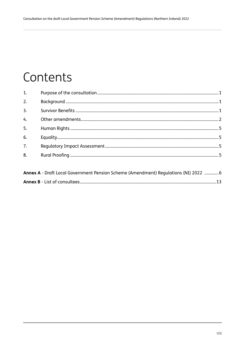# Contents

| 1.               |                                                                        |  |
|------------------|------------------------------------------------------------------------|--|
| 2.               |                                                                        |  |
| $\overline{3}$ . |                                                                        |  |
| 4 <sub>1</sub>   |                                                                        |  |
| 5.               |                                                                        |  |
| 6.               |                                                                        |  |
| $\overline{7}$ . |                                                                        |  |
| 8.               |                                                                        |  |
|                  |                                                                        |  |
|                  | Annoua, Durft Lee Communication Change (Announced Deputition (NI) 2022 |  |

|  | Annex A - Draft Local Government Pension Scheme (Amendment) Regulations (NI) 2022 ……………6 |  |  |  |  |
|--|------------------------------------------------------------------------------------------|--|--|--|--|
|  |                                                                                          |  |  |  |  |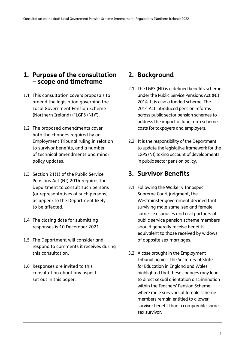### **1. Purpose of the consultation – scope and timeframe**

- 1.1 This consultation covers proposals to amend the legislation governing the Local Government Pension Scheme (Northern Ireland) ("LGPS (NI)").
- 1.2 The proposed amendments cover both the changes required by an Employment Tribunal ruling in relation to survivor benefits, and a number of technical amendments and minor policy updates.
- 1.3 Section 21(1) of the Public Service Pensions Act (NI) 2014 requires the Department to consult such persons (or representatives of such persons) as appear to the Department likely to be affected.
- 1.4 The closing date for submitting responses is 10 December 2021.
- 1.5 The Department will consider and respond to comments it receives during this consultation.
- 1.6 Responses are invited to this consultation about any aspect set out in this paper.

## **2. Background**

- 2.1 The LGPS (NI) is a defined benefits scheme under the Public Service Pensions Act (NI) 2014. It is also a funded scheme. The 2014 Act introduced pension reforms across public sector pension schemes to address the impact of long term scheme costs for taxpayers and employers.
- 2.2 It is the responsibility of the Department to update the legislative framework for the LGPS (NI) taking account of developments in public sector pension policy.

# **3. Survivor Benefits**

- 3.1 Following the Walker v Innospec Supreme Court judgment, the Westminster government decided that surviving male same-sex and female same-sex spouses and civil partners of public service pension scheme members should generally receive benefits equivalent to those received by widows of opposite sex marriages.
- 3.2 A case brought in the Employment Tribunal against the Secretary of State for Education in England and Wales highlighted that these changes may lead to direct sexual orientation discrimination within the Teachers' Pension Scheme, where male survivors of female scheme members remain entitled to a lower survivor benefit than a comparable samesex survivor.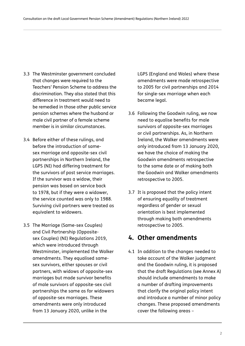- 3.3 The Westminster government concluded that changes were required to the Teachers' Pension Scheme to address the discrimination. They also stated that this difference in treatment would need to be remedied in those other public service pension schemes where the husband or male civil partner of a female scheme member is in similar circumstances.
- 3.4 Before either of these rulings, and before the introduction of samesex marriage and opposite-sex civil partnerships in Northern Ireland, the LGPS (NI) had differing treatment for the survivors of post service marriages. If the survivor was a widow, their pension was based on service back to 1978, but if they were a widower, the service counted was only to 1988. Surviving civil partners were treated as equivalent to widowers.
- 3.5 The Marriage (Same-sex Couples) and Civil Partnership (Oppositesex Couples) (NI) Regulations 2019, which were introduced through Westminster, implemented the Walker amendments. They equalised samesex survivors, either spouses or civil partners, with widows of opposite-sex marriages but made survivor benefits of male survivors of opposite-sex civil partnerships the same as for widowers of opposite-sex marriages. These amendments were only introduced from 13 January 2020, unlike in the

LGPS (England and Wales) where these amendments were made retrospective to 2005 for civil partnerships and 2014 for single-sex marriage when each became legal.

- 3.6 Following the Goodwin ruling, we now need to equalise benefits for male survivors of opposite-sex marriages or civil partnerships. As, in Northern Ireland, the Walker amendments were only introduced from 13 January 2020, we have the choice of making the Goodwin amendments retrospective to the same date or of making both the Goodwin and Walker amendments retrospective to 2005.
- 3.7 It is proposed that the policy intent of ensuring equality of treatment regardless of gender or sexual orientation is best implemented through making both amendments retrospective to 2005.

### **4. Other amendments**

4.1 In addition to the changes needed to take account of the Walker judgment and the Goodwin ruling, it is proposed that the draft Regulations (see Annex A) should include amendments to make a number of drafting improvements that clarify the original policy intent and introduce a number of minor policy changes. These proposed amendments cover the following areas –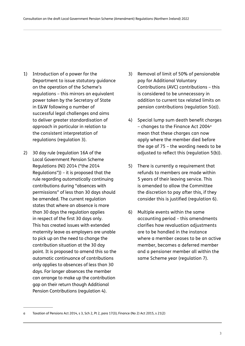- 1) Introduction of a power for the Department to issue statutory guidance on the operation of the Scheme's regulations – this mirrors an equivalent power taken by the Secretary of State in E&W following a number of successful legal challenges and aims to deliver greater standardisation of approach in particular in relation to the consistent interpretation of regulations (regulation 3).
- 2) 30 day rule (regulation 16A of the Local Government Pension Scheme Regulations (NI) 2014 ("the 2014 Regulations")) – it is proposed that the rule regarding automatically continuing contributions during "absences with permissions" of less than 30 days should be amended. The current regulation states that where an absence is more than 30 days the regulation applies in respect of the first 30 days only. This has created issues with extended maternity leave as employers are unable to pick up on the need to change the contribution situation at the 30 day point. It is proposed to amend this so the automatic continuance of contributions only applies to absences of less than 30 days. For longer absences the member can arrange to make up the contribution gap on their return though Additional Pension Contributions (regulation 4).
- 3) Removal of limit of 50% of pensionable pay for Additional Voluntary Contributions (AVC) contributions – this is considered to be unnecessary in addition to current tax related limits on pension contributions (regulation 5(a)).
- 4) Special lump sum death benefit charges – changes to the Finance Act 2004a mean that these charges can now apply where the member died before the age of 75 – the wording needs to be adjusted to reflect this (regulation 5(b)).
- 5) There is currently a requirement that refunds to members are made within 5 years of their leaving service. This is amended to allow the Committee the discretion to pay after this, if they consider this is justified (regulation 6).
- 6) Multiple events within the same accounting period – this amendments clarifies how revaluation adjustments are to be handled in the instance where a member ceases to be an active member, becomes a deferred member and a pensioner member all within the same Scheme year (regulation 7).

a Taxation of Pensions Act 2014, s 3, Sch 2, Pt 2, para 17(3); Finance (No 2) Act 2015, s 21(2)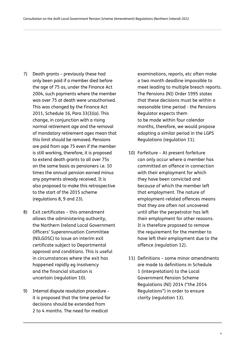- 7) Death grants previously these had only been paid if a member died before the age of 75 as, under the Finance Act 2004, such payments where the member was over 75 at death were unauthorised. This was changed by the Finance Act 2011, Schedule 16, Para 33(3)(a). This change, in conjunction with a rising normal retirement age and the removal of mandatory retirement ages mean that this limit should be removed. Pensions are paid from age 75 even if the member is still working, therefore, it is proposed to extend death grants to all over 75s on the same basis as pensioners i.e. 10 times the annual pension earned minus any payments already received. It is also proposed to make this retrospective to the start of the 2015 scheme (regulations 8, 9 and 23).
- 8) Exit certificates this amendment allows the administering authority, the Northern Ireland Local Government Officers' Superannuation Committee (NILGOSC) to issue an interim exit certificate subject to Departmental approval and conditions. This is useful in circumstances where the exit has happened rapidly eg insolvency and the financial situation is uncertain (regulation 10).
- 9) Internal dispute resolution procedure it is proposed that the time period for decisions should be extended from 2 to 4 months. The need for medical

examinations, reports, etc often make a two month deadline impossible to meet leading to multiple breach reports. The Pensions (NI) Order 1995 states that these decisions must be within a reasonable time period - the Pensions Regulator expects them to be made within four calendar months, therefore, we would propose adopting a similar period in the LGPS Regulations (regulation 11).

- 10) Forfeiture At present forfeiture can only occur where a member has committed an offence in connection with their employment for which they have been convicted and because of which the member left that employment. The nature of employment-related offences means that they are often not uncovered until after the perpetrator has left their employment for other reasons. It is therefore proposed to remove the requirement for the member to have left their employment due to the offence (regulation 12).
- 11) Definitions some minor amendments are made to definitions in Schedule 1 (interpretation) to the Local Government Pension Scheme Regulations (NI) 2014 ("the 2014 Regulations") in order to ensure clarity (regulation 13).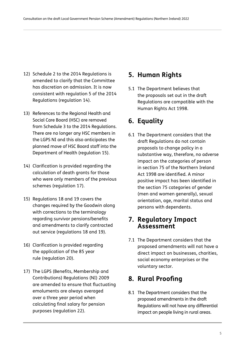- 12) Schedule 2 to the 2014 Regulations is amended to clarify that the Committee has discretion on admission. It is now consistent with regulation 5 of the 2014 Regulations (regulation 14).
- 13) References to the Regional Health and Social Care Board (HSC) are removed from Schedule 3 to the 2014 Regulations. There are no longer any HSC members in the LGPS NI and this also anticipates the planned move of HSC Board staff into the Department of Health (regulation 15).
- 14) Clarification is provided regarding the calculation of death grants for those who were only members of the previous schemes (regulation 17).
- 15) Regulations 18 and 19 covers the changes required by the Goodwin along with corrections to the terminology regarding survivor pensions/benefits and amendments to clarify contracted out service (regulations 18 and 19).
- 16) Clarification is provided regarding the application of the 85 year rule (regulation 20).
- 17) The LGPS (Benefits, Membership and Contributions) Regulations (NI) 2009 are amended to ensure that fluctuating emoluments are always averaged over a three year period when calculating final salary for pension purposes (regulation 22).

# **5. Human Rights**

5.1 The Department believes that the proposals set out in the draft Regulations are compatible with the Human Rights Act 1998.

# **6. Equality**

6.1 The Department considers that the draft Regulations do not contain proposals to change policy in a substantive way, therefore, no adverse impact on the categories of person in section 75 of the Northern Ireland Act 1998 are identified. A minor positive impact has been identified in the section 75 categories of gender (men and women generally), sexual orientation, age, marital status and persons with dependents.

### **7. Regulatory Impact Assessment**

7.1 The Department considers that the proposed amendments will not have a direct impact on businesses, charities, social economy enterprises or the voluntary sector.

# **8. Rural Proofing**

8.1 The Department considers that the proposed amendments in the draft Regulations will not have any differential impact on people living in rural areas.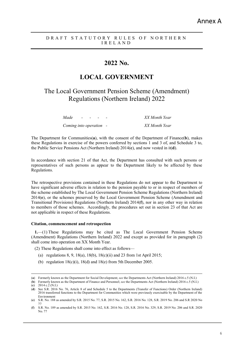### **2022 No.**

### **LOCAL GOVERNMENT**

The Local Government Pension Scheme (Amendment) Regulations (Northern Ireland) 2022

| Made                    | $ -$ |  | XX Month Year |
|-------------------------|------|--|---------------|
| Coming into operation - |      |  | XX Month Year |

The Department for Communities(**a**), with the consent of the Department of Finance(**b**), makes these Regulations in exercise of the powers conferred by sections 1 and 3 of, and Schedule 3 to, the Public Service Pensions Act (Northern Ireland) 2014(**c**), and now vested in it(**d**).

In accordance with section 21 of that Act, the Department has consulted with such persons or representatives of such persons as appear to the Department likely to be affected by these Regulations.

The retrospective provisions contained in these Regulations do not appear to the Department to have significant adverse effects in relation to the pension payable to or in respect of members of the scheme established by The Local Government Pension Scheme Regulations (Northern Ireland) 2014(**e**), or the schemes preserved by the Local Government Pension Scheme (Amendment and Transitional Provisions) Regulations (Northern Ireland) 2014(**f**), nor in any other way in relation to members of those schemes. Accordingly, the procedures set out in section 23 of that Act are not applicable in respect of these Regulations.

#### **Citation, commencement and retrospection**

**1.**—(1) These Regulations may be cited as The Local Government Pension Scheme (Amendment) Regulations (Northern Ireland) 2022 and except as provided for in paragraph (2) shall come into operation on XX Month Year.

(2) These Regulations shall come into effect as follows—

- (a) regulations 8, 9, 18(a), 18(b), 18(c)(ii) and 23 from 1st April 2015;
- (b) regulation  $18(c)(i)$ ,  $18(d)$  and  $18(e)$  from 5th December 2005.

(**b**) Formerly known as the Department of Finance and Personnel; *see* the Departments Act (Northern Ireland) 2016 c.5 (N.I.) (**c**) 2014 c.2 (N.I.)

 <sup>(</sup>**<sup>a</sup>**) Formerly known as the Department for Social Development; *see* the Departments Act (Northern Ireland) 2016 c.5 (N.I.)

<sup>(</sup>**d**) See S.R. 2016 No. 76, Article 8 of and Schedule 5 to the Departments (Transfer of Functions) Order (Northern Ireland) 2016 transferred functions to the Department for Communities which were previously exercisable by the Department of the Environment

<sup>(</sup>**e**) S.R. No. 188 as amended by S.R. 2015 No. 77, S.R. 2015 No. 162, S.R. 2016 No. 128, S.R. 2019 No. 206 and S.R 2020 No 77

<sup>(</sup>**f**) S.R. No. 189 as amended by S.R. 2015 No. 162, S.R. 2016 No. 128, S.R. 2016 No. 329, S.R. 2019 No. 206 and S.R. 2020 No. 77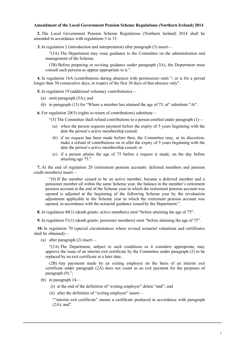#### **Amendment of the Local Government Pension Scheme Regulations (Northern Ireland) 2014**

**2.** The Local Government Pension Scheme Regulations (Northern Ireland) 2014 shall be amended in accordance with regulations 3 to 15.

**3.** In regulation 2 (introduction and interpretation) after paragraph (3) insert—

"(3A) The Department may issue guidance to the Committee on the administration and management of the Scheme.

(3B) Before preparing or revising guidance under paragraph (3A), the Department must consult such persons as appear appropriate to it.".

**4.** In regulation 16A (contributions during absences with permission) omit "; or is for a period longer than 30 consecutive days, in respect of the first 30 days of that absence only".

**5.** In regulation 19 (additional voluntary contributions)—

- (a) omit paragraph (5A); and
- (b) in paragraph (13) for "Where a member has attained the age of 75, at" substitute "At".

**6.** For regulation 20(5) (rights to return of contributions) substitute—

- "(5) The Committee shall refund contributions to a person entitled under paragraph  $(1)$ 
	- (a) when the person requests payment before the expiry of 5 years beginning with the date the person's active membership ceased;
	- (b) if no request has been made before then, the Committee may, at its discretion, make a refund of contributions on or after the expiry of 5 years beginning with the date the person's active membership ceased; or
	- (c) if a person attains the age of 75 before a request is made, on the day before attaining age 75.".

**7.** At the end of regulation 28 (retirement pension accounts: deferred members and pension credit members) insert—

"(8) If the member ceased to be an active member, became a deferred member and a pensioner member all within the same Scheme year, the balance in the member's retirement pension account at the end of the Scheme year in which the retirement pension account was opened is adjusted at the beginning of the following Scheme year by the revaluation adjustment applicable to the Scheme year in which the retirement pension account was opened, in accordance with the actuarial guidance issued by the Department.".

**8.** In regulation 40(1) (death grants: active members) omit "before attaining the age of 75".

**9.** In regulation 51(1) (death grants: pensioner members) omit "before attaining the age of 75".

**10.** In regulation 70 (special circumstances where revised actuarial valuations and certificates shall be obtained)—

(a) after paragraph (2) insert—

"(2A) The Department, subject to such conditions as it considers appropriate, may approve the issue of an interim exit certificate by the Committee under paragraph (2) to be replaced by an exit certificate at a later date.

(2B) Any payments made by an exiting employer on the basis of an interim exit certificate under paragraph (2A) does not count as an exit payment for the purposes of paragraph (9).";

- (b) in paragraph 14—
	- (i) at the end of the definition of "exiting employer" delete "and"; and
	- (ii) after the definition of "exiting employer" insert—

""interim exit certificate" means a certificate produced in accordance with paragraph  $(2A)$ : and".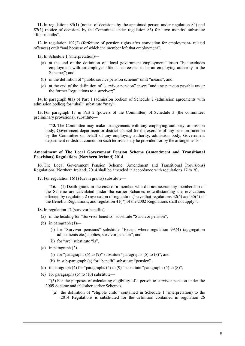**11.** In regulations 85(1) (notice of decisions by the appointed person under regulation 84) and 87(1) (notice of decisions by the Committee under regulation 86) for "two months" substitute "four months".

**12.** In regulation 102(2) (forfeiture of pension rights after conviction for employment- related offences) omit "and because of which the member left that employment".

**13.** In Schedule 1 (interpretation)—

- (a) at the end of the definition of "local government employment" insert "but excludes employment with an employer after it has ceased to be an employing authority in the Scheme;"; and
- (b) in the definition of "public service pension scheme" omit "means"; and
- (c) at the end of the definition of "survivor pension" insert "and any pension payable under the former Regulations to a survivor;".

**14.** In paragraph 8(a) of Part 1 (admission bodies) of Schedule 2 (admission agreements with admission bodies) for "shall" substitute "may".

**15.** For paragraph 13 in Part 2 (powers of the Committee) of Schedule 3 (the committee: preliminary provisions), substitute—

"**13.** The Committee may make arrangements with any employing authority, admission body, Government department or district council for the exercise of any pension function by the Committee on behalf of any employing authority, admission body, Government department or district council on such terms as may be provided for by the arrangements.".

#### **Amendment of The Local Government Pension Scheme (Amendment and Transitional Provisions) Regulations (Northern Ireland) 2014**

**16.** The Local Government Pension Scheme (Amendment and Transitional Provisions) Regulations (Northern Ireland) 2014 shall be amended in accordance with regulations 17 to 20.

**17.** For regulation 16(1) (death grants) substitute—

"**16.**—(1) Death grants in the case of a member who did not accrue any membership of the Scheme are calculated under the earlier Schemes notwithstanding the revocations effected by regulation 2 (revocation of regulations) save that regulations 32(4) and 35(4) of the Benefits Regulations, and regulation 41(7) of the 2002 Regulations shall not apply.".

**18.** In regulation 17 (survivor benefits)—

- (a) in the heading for "Survivor benefits" substitute "Survivor pension";
- (b) in paragraph  $(1)$ 
	- (i) for "Survivor pensions" substitute "Except where regulation 9A(4) (aggregation adjustments etc.) applies, survivor pension"; and
	- (ii) for "are" substitute "is".
- (c) in paragraph  $(2)$ 
	- (i) for "paragraphs (5) to (9)" substitute "paragraphs (5) to  $(8)$ "; and
	- (ii) in sub-paragraph (a) for "benefit" substitute "pension".
- (d) in paragraph (4) for "paragraphs (5) to (9)" substitute "paragraphs (5) to (8)";
- (e) for paragraphs  $(5)$  to  $(10)$  substitute—

"(5) For the purposes of calculating eligibility of a person to survivor pension under the 2009 Scheme and the other earlier Schemes,

3

(a) the definition of "eligible child" contained in Schedule 1 (interpretation) to the 2014 Regulations is substituted for the definition contained in regulation 26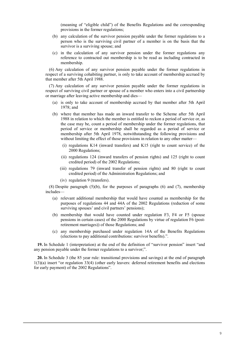(meaning of "eligible child") of the Benefits Regulations and the corresponding provisions in the former regulations;

- (b) any calculation of the survivor pension payable under the former regulations to a person who is the surviving civil partner of a member is on the basis that the survivor is a surviving spouse; and
- (c) in the calculation of any survivor pension under the former regulations any reference to contracted out membership is to be read as including contracted in membership.

(6) Any calculation of any survivor pension payable under the former regulations in respect of a surviving cohabiting partner, is only to take account of membership accrued by that member after 5th April 1988.

(7) Any calculation of any survivor pension payable under the former regulations in respect of surviving civil partner or spouse of a member who enters into a civil partnership or marriage after leaving active membership and dies—

- (a) is only to take account of membership accrued by that member after 5th April 1978; and
- (b) where that member has made an inward transfer to the Scheme after 5th April 1988 in relation to which the member is entitled to reckon a period of service or, as the case may be, count a period of membership under the former regulations, that period of service or membership shall be regarded as a period of service or membership after 5th April 1978, notwithstanding the following provisions and without limiting the effect of those provisions in relation to any other matter-
	- (i) regulations K14 (inward transfers) and K15 (right to count service) of the 2000 Regulations;
	- (ii) regulations 124 (inward transfers of pension rights) and 125 (right to count credited period) of the 2002 Regulations;
	- (iii) regulations 79 (inward transfer of pension rights) and 80 (right to count credited period) of the Administration Regulations; and
	- (iv) regulation 9 (transfers).

(8) Despite paragraph (5)(b), for the purposes of paragraphs (6) and (7), membership includes—

- (a) relevant additional membership that would have counted as membership for the purposes of regulations 44 and 44A of the 2002 Regulations (reduction of some surviving spouses' and civil partners' pensions);
- (b) membership that would have counted under regulation F3, F4 or F5 (spouse pensions in certain cases) of the 2000 Regulations by virtue of regulation F6 (postretirement marriages)) of those Regulations; and
- (c) any membership purchased under regulation 14A of the Benefits Regulations (elections to pay additional contributions: survivor benefits).".

**19.** In Schedule 1 (interpretation) at the end of the definition of "survivor pension" insert "and any pension payable under the former regulations to a survivor;".

**20.** In Schedule 3 (the 85 year rule: transitional provisions and savings) at the end of paragraph 1(3)(a) insert "or regulation 33(4) (other early leavers: deferred retirement benefits and elections for early payment) of the 2002 Regulations".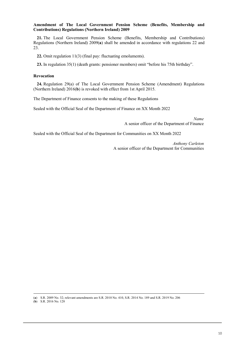#### **Amendment of The Local Government Pension Scheme (Benefits, Membership and Contributions) Regulations (Northern Ireland) 2009**

**21.** The Local Government Pension Scheme (Benefits, Membership and Contributions) Regulations (Northern Ireland) 2009(**a**) shall be amended in accordance with regulations 22 and 23.

**22.** Omit regulation 11(3) (final pay: fluctuating emoluments).

**23.** In regulation 35(1) (death grants: pensioner members) omit "before his 75th birthday".

#### **Revocation**

**24.** Regulation 29(a) of The Local Government Pension Scheme (Amendment) Regulations (Northern Ireland) 2016(**b**) is revoked with effect from 1st April 2015.

The Department of Finance consents to the making of these Regulations

Sealed with the Official Seal of the Department of Finance on XX Month 2022

*Name* A senior officer of the Department of Finance

Sealed with the Official Seal of the Department for Communities on XX Month 2022

*Anthony Carleton* A senior officer of the Department for Communities

(**<sup>a</sup>**) S.R. 2009 No. 32; relevant amendments are S.R. 2010 No. 410, S.R. 2014 No. 189 and S.R. 2019 No. 206

(**b**) S.R. 2016 No. 128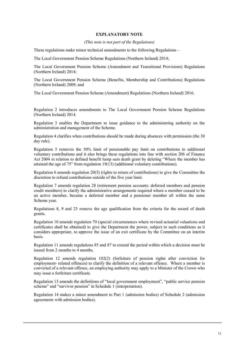### **EXPLANATORY NOTE**

#### *(This note is not part of the Regulations)*

These regulations make minor technical amendments to the following Regulations –

The Local Government Pension Scheme Regulations (Northern Ireland) 2014;

The Local Government Pension Scheme (Amendment and Transitional Provisions) Regulations (Northern Ireland) 2014;

The Local Government Pension Scheme (Benefits, Membership and Contributions) Regulations (Northern Ireland) 2009; and

The Local Government Pension Scheme (Amendment) Regulations (Northern Ireland) 2016.

Regulation 2 introduces amendments to The Local Government Pension Scheme Regulations (Northern Ireland) 2014.

Regulation 3 enables the Department to issue guidance to the administering authority on the administration and management of the Scheme.

Regulation 4 clarifies when contributions should be made during absences with permission (the 30 day rule).

Regulation 5 removes the 50% limit of pensionable pay limit on contributions to additional voluntary contributions and it also brings these regulations into line with section 206 of Finance Act 2004 in relation to defined benefit lump sum death grant by deleting "Where the member has attained the age of 75" from regulation 19(13) (additional voluntary contributions).

Regulation 6 amends regulation 20(5) (rights to return of contributions) to give the Committee the discretion to refund contributions outside of the five year limit.

Regulation 7 amends regulation 28 (retirement pension accounts: deferred members and pension credit members) to clarify the administrative arrangements required where a member ceased to be an active member, became a deferred member and a pensioner member all within the same Scheme year.

Regulations 8, 9 and 23 remove the age qualification from the criteria for the award of death grants.

Regulation 10 amends regulation 70 (special circumstances where revised actuarial valuations and certificates shall be obtained) to give the Department the power, subject to such conditions as it considers appropriate, to approve the issue of an exit certificate by the Committee on an interim basis.

Regulation 11 amends regulations 85 and 87 to extend the period within which a decision must be issued from 2 months to  $\overline{4}$  months.

Regulation 12 amends regulation 102(2) (forfeiture of pension rights after conviction for employment- related offences) to clarify the definition of a relevant offence. Where a member is convicted of a relevant offence, an employing authority may apply to a Minister of the Crown who may issue a forfeiture certificate.

Regulation 13 amends the definitions of "local government employment", "public service pension scheme" and "survivor pension" in Schedule 1 (interpretation).

Regulation 14 makes a minor amendment to Part 1 (admission bodies) of Schedule 2 (admission agreements with admission bodies).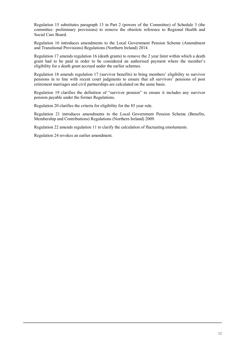Regulation 15 substitutes paragraph 13 in Part 2 (powers of the Committee) of Schedule 3 (the committee: preliminary provisions) to remove the obsolete reference to Regional Health and Social Care Board.

Regulation 16 introduces amendments to the Local Government Pension Scheme (Amendment and Transitional Provisions) Regulations (Northern Ireland) 2014.

Regulation 17 amends regulation 16 (death grants) to remove the 2 year limit within which a death grant had to be paid in order to be considered an authorised payment where the member's eligibility for a death grant accrued under the earlier schemes.

Regulation 18 amends regulation 17 (survivor benefits) to bring members' eligibility to survivor pensions in to line with recent court judgments to ensure that all survivors' pensions of post retirement marriages and civil partnerships are calculated on the same basis.

Regulation 19 clarifies the definition of "survivor pension" to ensure it includes any survivor pension payable under the former Regulations.

Regulation 20 clarifies the criteria for eligibility for the 85 year rule.

Regulation 21 introduces amendments to the Local Government Pension Scheme (Benefits, Membership and Contributions) Regulations (Northern Ireland) 2009.

7

Regulation 22 amends regulation 11 to clarify the calculation of fluctuating emoluments.

Regulation 24 revokes an earlier amendment.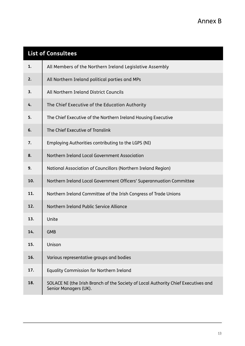|     | <b>List of Consultees</b>                                                                                   |
|-----|-------------------------------------------------------------------------------------------------------------|
| 1.  | All Members of the Northern Ireland Legislative Assembly                                                    |
| 2.  | All Northern Ireland political parties and MPs                                                              |
| 3.  | All Northern Ireland District Councils                                                                      |
| 4.  | The Chief Executive of the Education Authority                                                              |
| 5.  | The Chief Executive of the Northern Ireland Housing Executive                                               |
| 6.  | The Chief Executive of Translink                                                                            |
| 7.  | Employing Authorities contributing to the LGPS (NI)                                                         |
| 8.  | Northern Ireland Local Government Association                                                               |
| 9.  | National Association of Councillors (Northern Ireland Region)                                               |
| 10. | Northern Ireland Local Government Officers' Superannuation Committee                                        |
| 11. | Northern Ireland Committee of the Irish Congress of Trade Unions                                            |
| 12. | Northern Ireland Public Service Alliance                                                                    |
| 13. | Unite                                                                                                       |
| 14. | <b>GMB</b>                                                                                                  |
| 15. | Unison                                                                                                      |
| 16. | Various representative groups and bodies                                                                    |
| 17. | Equality Commission for Northern Ireland                                                                    |
| 18. | SOLACE NI (the Irish Branch of the Society of Local Authority Chief Executives and<br>Senior Managers (UK). |